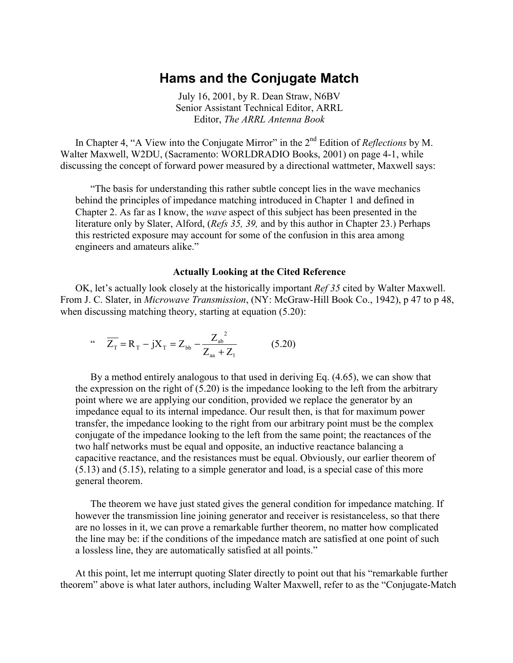## **Hams and the Conjugate Match**

July 16, 2001, by R. Dean Straw, N6BV Senior Assistant Technical Editor, ARRL Editor, *The ARRL Antenna Book* 

In Chapter 4, "A View into the Conjugate Mirror" in the 2<sup>nd</sup> Edition of *Reflections* by M. Walter Maxwell, W2DU, (Sacramento: WORLDRADIO Books, 2001) on page 4-1, while discussing the concept of forward power measured by a directional wattmeter, Maxwell says:

 "The basis for understanding this rather subtle concept lies in the wave mechanics behind the principles of impedance matching introduced in Chapter 1 and defined in Chapter 2. As far as I know, the *wave* aspect of this subject has been presented in the literature only by Slater, Alford, (*Refs 35, 39,* and by this author in Chapter 23.) Perhaps this restricted exposure may account for some of the confusion in this area among engineers and amateurs alike."

#### **Actually Looking at the Cited Reference**

 OK, let's actually look closely at the historically important *Ref 35* cited by Walter Maxwell. From J. C. Slater, in *Microwave Transmission*, (NY: McGraw-Hill Book Co., 1942), p 47 to p 48, when discussing matching theory, starting at equation (5.20):

$$
Z_{\rm T} = R_{\rm T} - jX_{\rm T} = Z_{\rm bb} - \frac{Z_{\rm ab}^2}{Z_{\rm aa} + Z_{\rm T}}
$$
 (5.20)

 By a method entirely analogous to that used in deriving Eq. (4.65), we can show that the expression on the right of  $(5.20)$  is the impedance looking to the left from the arbitrary point where we are applying our condition, provided we replace the generator by an impedance equal to its internal impedance. Our result then, is that for maximum power transfer, the impedance looking to the right from our arbitrary point must be the complex conjugate of the impedance looking to the left from the same point; the reactances of the two half networks must be equal and opposite, an inductive reactance balancing a capacitive reactance, and the resistances must be equal. Obviously, our earlier theorem of (5.13) and (5.15), relating to a simple generator and load, is a special case of this more general theorem.

 The theorem we have just stated gives the general condition for impedance matching. If however the transmission line joining generator and receiver is resistanceless, so that there are no losses in it, we can prove a remarkable further theorem, no matter how complicated the line may be: if the conditions of the impedance match are satisfied at one point of such a lossless line, they are automatically satisfied at all points."

 At this point, let me interrupt quoting Slater directly to point out that his "remarkable further theorem" above is what later authors, including Walter Maxwell, refer to as the "Conjugate-Match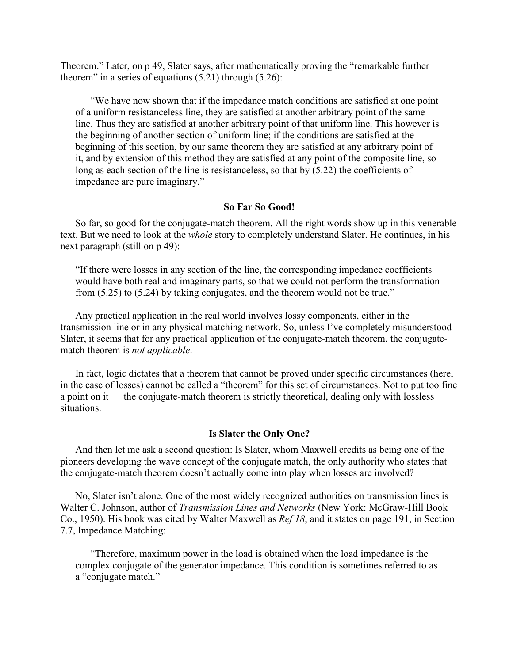Theorem." Later, on p 49, Slater says, after mathematically proving the "remarkable further theorem" in a series of equations  $(5.21)$  through  $(5.26)$ :

 "We have now shown that if the impedance match conditions are satisfied at one point of a uniform resistanceless line, they are satisfied at another arbitrary point of the same line. Thus they are satisfied at another arbitrary point of that uniform line. This however is the beginning of another section of uniform line; if the conditions are satisfied at the beginning of this section, by our same theorem they are satisfied at any arbitrary point of it, and by extension of this method they are satisfied at any point of the composite line, so long as each section of the line is resistanceless, so that by  $(5.22)$  the coefficients of impedance are pure imaginary."

## **So Far So Good!**

 So far, so good for the conjugate-match theorem. All the right words show up in this venerable text. But we need to look at the *whole* story to completely understand Slater. He continues, in his next paragraph (still on p 49):

"If there were losses in any section of the line, the corresponding impedance coefficients would have both real and imaginary parts, so that we could not perform the transformation from (5.25) to (5.24) by taking conjugates, and the theorem would not be true."

 Any practical application in the real world involves lossy components, either in the transmission line or in any physical matching network. So, unless I've completely misunderstood Slater, it seems that for any practical application of the conjugate-match theorem, the conjugatematch theorem is *not applicable*.

 In fact, logic dictates that a theorem that cannot be proved under specific circumstances (here, in the case of losses) cannot be called a "theorem" for this set of circumstances. Not to put too fine a point on it — the conjugate-match theorem is strictly theoretical, dealing only with lossless situations.

## **Is Slater the Only One?**

 And then let me ask a second question: Is Slater, whom Maxwell credits as being one of the pioneers developing the wave concept of the conjugate match, the only authority who states that the conjugate-match theorem doesn't actually come into play when losses are involved?

 No, Slater isn't alone. One of the most widely recognized authorities on transmission lines is Walter C. Johnson, author of *Transmission Lines and Networks* (New York: McGraw-Hill Book Co., 1950). His book was cited by Walter Maxwell as *Ref 18*, and it states on page 191, in Section 7.7, Impedance Matching:

 "Therefore, maximum power in the load is obtained when the load impedance is the complex conjugate of the generator impedance. This condition is sometimes referred to as a "conjugate match."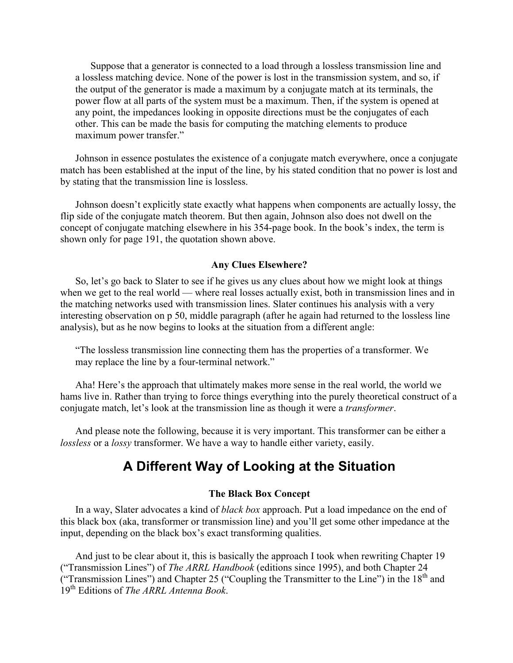Suppose that a generator is connected to a load through a lossless transmission line and a lossless matching device. None of the power is lost in the transmission system, and so, if the output of the generator is made a maximum by a conjugate match at its terminals, the power flow at all parts of the system must be a maximum. Then, if the system is opened at any point, the impedances looking in opposite directions must be the conjugates of each other. This can be made the basis for computing the matching elements to produce maximum power transfer."

 Johnson in essence postulates the existence of a conjugate match everywhere, once a conjugate match has been established at the input of the line, by his stated condition that no power is lost and by stating that the transmission line is lossless.

 Johnson doesn't explicitly state exactly what happens when components are actually lossy, the flip side of the conjugate match theorem. But then again, Johnson also does not dwell on the concept of conjugate matching elsewhere in his 354-page book. In the book's index, the term is shown only for page 191, the quotation shown above.

#### **Any Clues Elsewhere?**

 So, let's go back to Slater to see if he gives us any clues about how we might look at things when we get to the real world — where real losses actually exist, both in transmission lines and in the matching networks used with transmission lines. Slater continues his analysis with a very interesting observation on p 50, middle paragraph (after he again had returned to the lossless line analysis), but as he now begins to looks at the situation from a different angle:

"The lossless transmission line connecting them has the properties of a transformer. We may replace the line by a four-terminal network."

 Aha! Here's the approach that ultimately makes more sense in the real world, the world we hams live in. Rather than trying to force things everything into the purely theoretical construct of a conjugate match, let's look at the transmission line as though it were a *transformer*.

 And please note the following, because it is very important. This transformer can be either a *lossless* or a *lossy* transformer. We have a way to handle either variety, easily.

## **A Different Way of Looking at the Situation**

#### **The Black Box Concept**

 In a way, Slater advocates a kind of *black box* approach. Put a load impedance on the end of this black box (aka, transformer or transmission line) and you'll get some other impedance at the input, depending on the black box's exact transforming qualities.

 And just to be clear about it, this is basically the approach I took when rewriting Chapter 19 ("Transmission Lines") of *The ARRL Handbook* (editions since 1995), and both Chapter 24 ("Transmission Lines") and Chapter 25 ("Coupling the Transmitter to the Line") in the 18th and 19th Editions of *The ARRL Antenna Book*.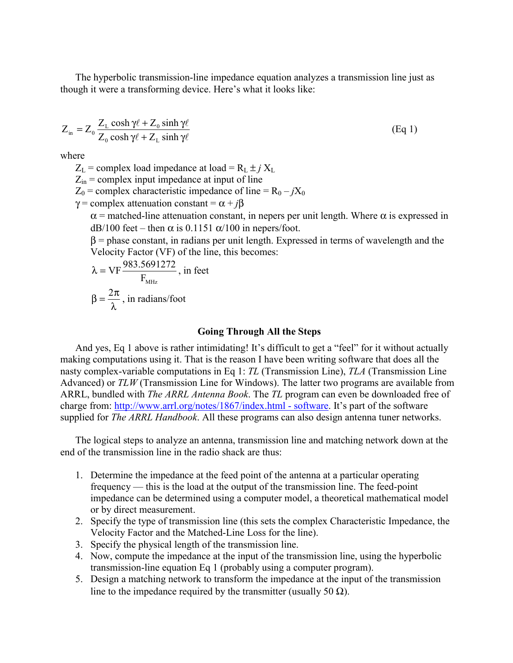The hyperbolic transmission-line impedance equation analyzes a transmission line just as though it were a transforming device. Here's what it looks like:

$$
Z_{in} = Z_0 \frac{Z_L \cosh \gamma \ell + Z_0 \sinh \gamma \ell}{Z_0 \cosh \gamma \ell + Z_L \sinh \gamma \ell}
$$
 (Eq 1)

where

 $Z_L$  = complex load impedance at load =  $R_L \pm j X_L$ 

 $Z_{in}$  = complex input impedance at input of line

 $Z_0$  = complex characteristic impedance of line =  $R_0 - jX_0$ 

 $\gamma$  = complex attenuation constant =  $\alpha + i\beta$ 

 $\alpha$  = matched-line attenuation constant, in nepers per unit length. Where  $\alpha$  is expressed in dB/100 feet – then  $\alpha$  is 0.1151  $\alpha$ /100 in nepers/foot.

 $\beta$  = phase constant, in radians per unit length. Expressed in terms of wavelength and the Velocity Factor (VF) of the line, this becomes:

$$
\lambda = VF \frac{983.5691272}{F_{MHz}}
$$
, in feet  

$$
\beta = \frac{2\pi}{\lambda}
$$
, in radians/foot

## **Going Through All the Steps**

 And yes, Eq 1 above is rather intimidating! It's difficult to get a "feel" for it without actually making computations using it. That is the reason I have been writing software that does all the nasty complex-variable computations in Eq 1: *TL* (Transmission Line), *TLA* (Transmission Line Advanced) or *TLW* (Transmission Line for Windows). The latter two programs are available from ARRL, bundled with *The ARRL Antenna Book*. The *TL* program can even be downloaded free of charge from: h[ttp://www.arrl.org/notes/1867/index.html - software.](http://www.arrl.org/notes/1867/index.html#software) It's part of the software supplied for *The ARRL Handbook*. All these programs can also design antenna tuner networks.

 The logical steps to analyze an antenna, transmission line and matching network down at the end of the transmission line in the radio shack are thus:

- 1. Determine the impedance at the feed point of the antenna at a particular operating frequency — this is the load at the output of the transmission line. The feed-point impedance can be determined using a computer model, a theoretical mathematical model or by direct measurement.
- 2. Specify the type of transmission line (this sets the complex Characteristic Impedance, the Velocity Factor and the Matched-Line Loss for the line).
- 3. Specify the physical length of the transmission line.
- 4. Now, compute the impedance at the input of the transmission line, using the hyperbolic transmission-line equation Eq 1 (probably using a computer program).
- 5. Design a matching network to transform the impedance at the input of the transmission line to the impedance required by the transmitter (usually 50  $\Omega$ ).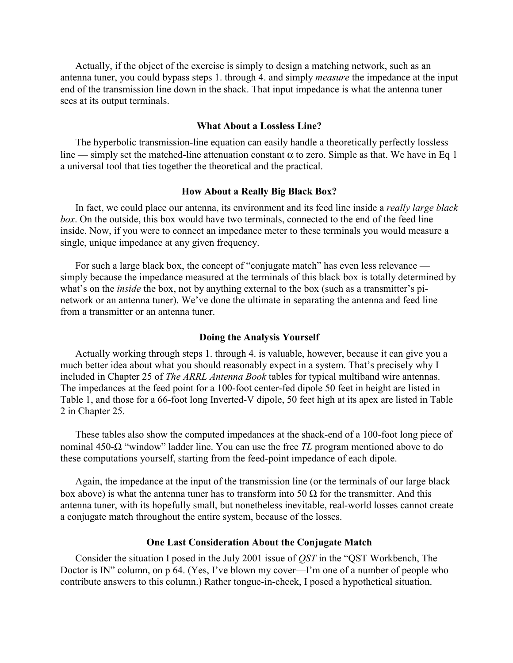Actually, if the object of the exercise is simply to design a matching network, such as an antenna tuner, you could bypass steps 1. through 4. and simply *measure* the impedance at the input end of the transmission line down in the shack. That input impedance is what the antenna tuner sees at its output terminals.

## **What About a Lossless Line?**

 The hyperbolic transmission-line equation can easily handle a theoretically perfectly lossless line — simply set the matched-line attenuation constant  $\alpha$  to zero. Simple as that. We have in Eq 1 a universal tool that ties together the theoretical and the practical.

#### **How About a Really Big Black Box?**

 In fact, we could place our antenna, its environment and its feed line inside a *really large black box*. On the outside, this box would have two terminals, connected to the end of the feed line inside. Now, if you were to connect an impedance meter to these terminals you would measure a single, unique impedance at any given frequency.

 For such a large black box, the concept of "conjugate match" has even less relevance simply because the impedance measured at the terminals of this black box is totally determined by what's on the *inside* the box, not by anything external to the box (such as a transmitter's pinetwork or an antenna tuner). We've done the ultimate in separating the antenna and feed line from a transmitter or an antenna tuner.

#### **Doing the Analysis Yourself**

 Actually working through steps 1. through 4. is valuable, however, because it can give you a much better idea about what you should reasonably expect in a system. That's precisely why I included in Chapter 25 of *The ARRL Antenna Book* tables for typical multiband wire antennas. The impedances at the feed point for a 100-foot center-fed dipole 50 feet in height are listed in Table 1, and those for a 66-foot long Inverted-V dipole, 50 feet high at its apex are listed in Table 2 in Chapter 25.

 These tables also show the computed impedances at the shack-end of a 100-foot long piece of nominal 450-Ω "window" ladder line. You can use the free *TL* program mentioned above to do these computations yourself, starting from the feed-point impedance of each dipole.

 Again, the impedance at the input of the transmission line (or the terminals of our large black box above) is what the antenna tuner has to transform into 50  $\Omega$  for the transmitter. And this antenna tuner, with its hopefully small, but nonetheless inevitable, real-world losses cannot create a conjugate match throughout the entire system, because of the losses.

## **One Last Consideration About the Conjugate Match**

 Consider the situation I posed in the July 2001 issue of *QST* in the "QST Workbench, The Doctor is IN" column, on p 64. (Yes, I've blown my cover—I'm one of a number of people who contribute answers to this column.) Rather tongue-in-cheek, I posed a hypothetical situation.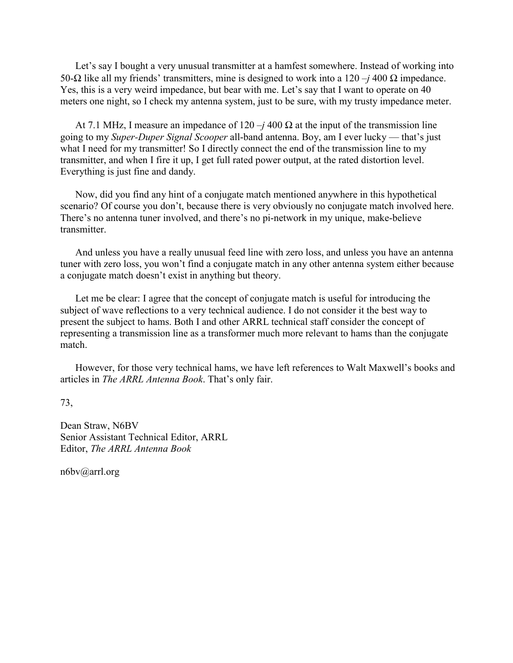Let's say I bought a very unusual transmitter at a hamfest somewhere. Instead of working into 50-Ω like all my friends' transmitters, mine is designed to work into a 120 –*j* 400 Ω impedance. Yes, this is a very weird impedance, but bear with me. Let's say that I want to operate on 40 meters one night, so I check my antenna system, just to be sure, with my trusty impedance meter.

At 7.1 MHz, I measure an impedance of  $120 - j400 \Omega$  at the input of the transmission line going to my *Super-Duper Signal Scooper* all-band antenna. Boy, am I ever lucky — that's just what I need for my transmitter! So I directly connect the end of the transmission line to my transmitter, and when I fire it up, I get full rated power output, at the rated distortion level. Everything is just fine and dandy.

 Now, did you find any hint of a conjugate match mentioned anywhere in this hypothetical scenario? Of course you don't, because there is very obviously no conjugate match involved here. There's no antenna tuner involved, and there's no pi-network in my unique, make-believe transmitter.

 And unless you have a really unusual feed line with zero loss, and unless you have an antenna tuner with zero loss, you won't find a conjugate match in any other antenna system either because a conjugate match doesn't exist in anything but theory.

 Let me be clear: I agree that the concept of conjugate match is useful for introducing the subject of wave reflections to a very technical audience. I do not consider it the best way to present the subject to hams. Both I and other ARRL technical staff consider the concept of representing a transmission line as a transformer much more relevant to hams than the conjugate match.

 However, for those very technical hams, we have left references to Walt Maxwell's books and articles in *The ARRL Antenna Book*. That's only fair.

73,

Dean Straw, N6BV Senior Assistant Technical Editor, ARRL Editor, *The ARRL Antenna Book*

n6bv@arrl.org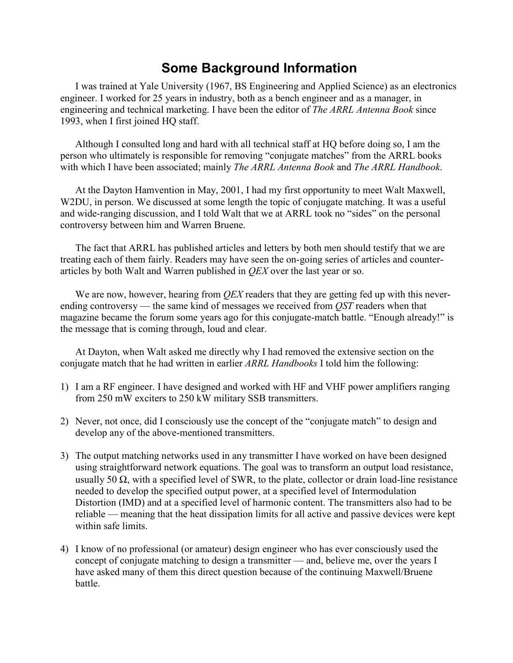# **Some Background Information**

 I was trained at Yale University (1967, BS Engineering and Applied Science) as an electronics engineer. I worked for 25 years in industry, both as a bench engineer and as a manager, in engineering and technical marketing. I have been the editor of *The ARRL Antenna Book* since 1993, when I first joined HQ staff.

 Although I consulted long and hard with all technical staff at HQ before doing so, I am the person who ultimately is responsible for removing "conjugate matches" from the ARRL books with which I have been associated; mainly *The ARRL Antenna Book* and *The ARRL Handbook*.

 At the Dayton Hamvention in May, 2001, I had my first opportunity to meet Walt Maxwell, W2DU, in person. We discussed at some length the topic of conjugate matching. It was a useful and wide-ranging discussion, and I told Walt that we at ARRL took no "sides" on the personal controversy between him and Warren Bruene.

 The fact that ARRL has published articles and letters by both men should testify that we are treating each of them fairly. Readers may have seen the on-going series of articles and counterarticles by both Walt and Warren published in *QEX* over the last year or so.

 We are now, however, hearing from *QEX* readers that they are getting fed up with this neverending controversy — the same kind of messages we received from *QST* readers when that magazine became the forum some years ago for this conjugate-match battle. "Enough already!" is the message that is coming through, loud and clear.

 At Dayton, when Walt asked me directly why I had removed the extensive section on the conjugate match that he had written in earlier *ARRL Handbooks* I told him the following:

- 1) I am a RF engineer. I have designed and worked with HF and VHF power amplifiers ranging from 250 mW exciters to 250 kW military SSB transmitters.
- 2) Never, not once, did I consciously use the concept of the "conjugate match" to design and develop any of the above-mentioned transmitters.
- 3) The output matching networks used in any transmitter I have worked on have been designed using straightforward network equations. The goal was to transform an output load resistance, usually 50  $\Omega$ , with a specified level of SWR, to the plate, collector or drain load-line resistance needed to develop the specified output power, at a specified level of Intermodulation Distortion (IMD) and at a specified level of harmonic content. The transmitters also had to be reliable — meaning that the heat dissipation limits for all active and passive devices were kept within safe limits.
- 4) I know of no professional (or amateur) design engineer who has ever consciously used the concept of conjugate matching to design a transmitter — and, believe me, over the years I have asked many of them this direct question because of the continuing Maxwell/Bruene battle.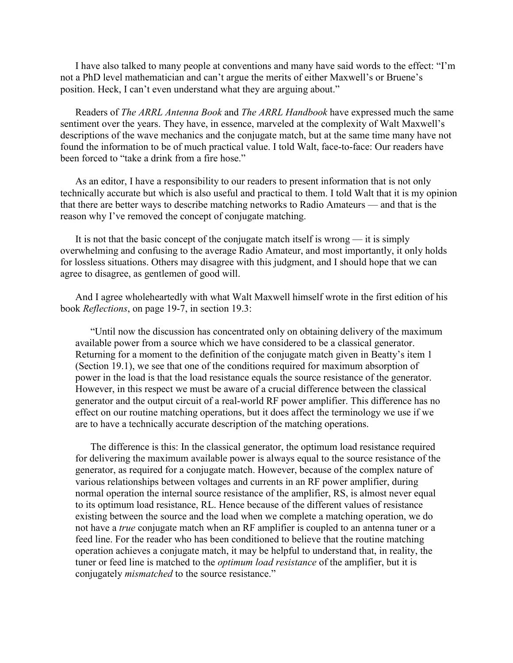I have also talked to many people at conventions and many have said words to the effect: "I'm not a PhD level mathematician and can't argue the merits of either Maxwell's or Bruene's position. Heck, I can't even understand what they are arguing about."

 Readers of *The ARRL Antenna Book* and *The ARRL Handbook* have expressed much the same sentiment over the years. They have, in essence, marveled at the complexity of Walt Maxwell's descriptions of the wave mechanics and the conjugate match, but at the same time many have not found the information to be of much practical value. I told Walt, face-to-face: Our readers have been forced to "take a drink from a fire hose."

 As an editor, I have a responsibility to our readers to present information that is not only technically accurate but which is also useful and practical to them. I told Walt that it is my opinion that there are better ways to describe matching networks to Radio Amateurs — and that is the reason why I've removed the concept of conjugate matching.

 It is not that the basic concept of the conjugate match itself is wrong — it is simply overwhelming and confusing to the average Radio Amateur, and most importantly, it only holds for lossless situations. Others may disagree with this judgment, and I should hope that we can agree to disagree, as gentlemen of good will.

 And I agree wholeheartedly with what Walt Maxwell himself wrote in the first edition of his book *Reflections*, on page 19-7, in section 19.3:

 "Until now the discussion has concentrated only on obtaining delivery of the maximum available power from a source which we have considered to be a classical generator. Returning for a moment to the definition of the conjugate match given in Beatty's item 1 (Section 19.1), we see that one of the conditions required for maximum absorption of power in the load is that the load resistance equals the source resistance of the generator. However, in this respect we must be aware of a crucial difference between the classical generator and the output circuit of a real-world RF power amplifier. This difference has no effect on our routine matching operations, but it does affect the terminology we use if we are to have a technically accurate description of the matching operations.

 The difference is this: In the classical generator, the optimum load resistance required for delivering the maximum available power is always equal to the source resistance of the generator, as required for a conjugate match. However, because of the complex nature of various relationships between voltages and currents in an RF power amplifier, during normal operation the internal source resistance of the amplifier, RS, is almost never equal to its optimum load resistance, RL. Hence because of the different values of resistance existing between the source and the load when we complete a matching operation, we do not have a *true* conjugate match when an RF amplifier is coupled to an antenna tuner or a feed line. For the reader who has been conditioned to believe that the routine matching operation achieves a conjugate match, it may be helpful to understand that, in reality, the tuner or feed line is matched to the *optimum load resistance* of the amplifier, but it is conjugately *mismatched* to the source resistance."